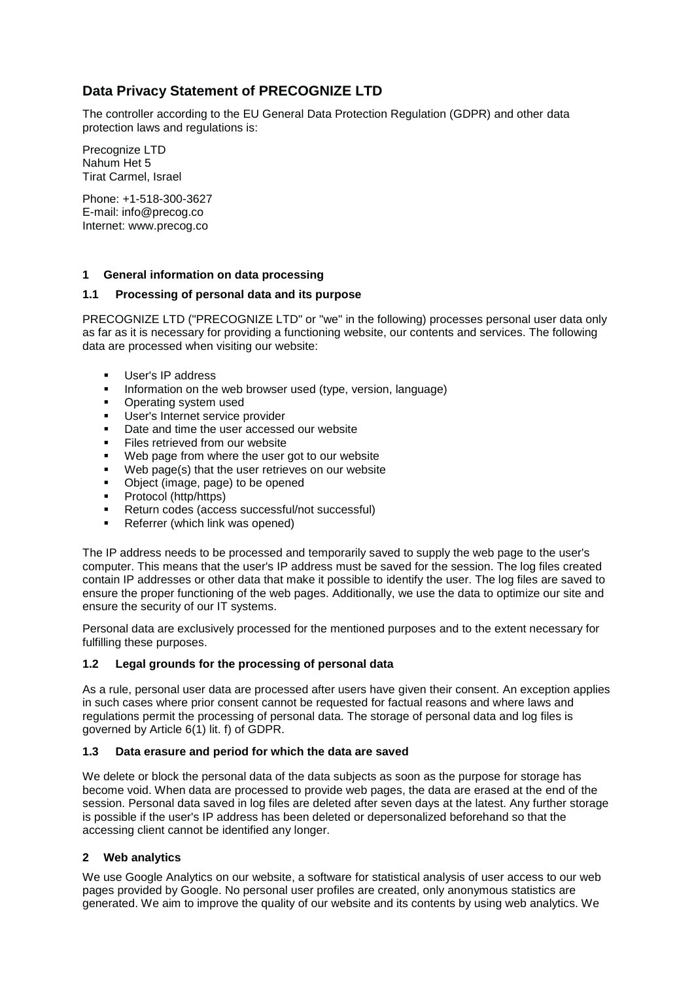# **Data Privacy Statement of PRECOGNIZE LTD**

The controller according to the EU General Data Protection Regulation (GDPR) and other data protection laws and regulations is:

Precognize LTD Nahum Het 5 Tirat Carmel, Israel

Phone: +1-518-300-3627 E-mail: [info@precog.co](javascript:linkTo_UnCryptMailto() Internet: www.precog.co

# **1 General information on data processing**

# **1.1 Processing of personal data and its purpose**

PRECOGNIZE LTD ("PRECOGNIZE LTD" or "we" in the following) processes personal user data only as far as it is necessary for providing a functioning website, our contents and services. The following data are processed when visiting our website:

- User's IP address
- **EXECT** Information on the web browser used (type, version, language)
- Operating system used
- User's Internet service provider
- Date and time the user accessed our website
- Files retrieved from our website
- Web page from where the user got to our website
- Web page(s) that the user retrieves on our website
- Object (image, page) to be opened
- Protocol (http/https)
- Return codes (access successful/not successful)
- Referrer (which link was opened)

The IP address needs to be processed and temporarily saved to supply the web page to the user's computer. This means that the user's IP address must be saved for the session. The log files created contain IP addresses or other data that make it possible to identify the user. The log files are saved to ensure the proper functioning of the web pages. Additionally, we use the data to optimize our site and ensure the security of our IT systems.

Personal data are exclusively processed for the mentioned purposes and to the extent necessary for fulfilling these purposes.

# **1.2 Legal grounds for the processing of personal data**

As a rule, personal user data are processed after users have given their consent. An exception applies in such cases where prior consent cannot be requested for factual reasons and where laws and regulations permit the processing of personal data. The storage of personal data and log files is governed by Article 6(1) lit. f) of GDPR.

# **1.3 Data erasure and period for which the data are saved**

We delete or block the personal data of the data subjects as soon as the purpose for storage has become void. When data are processed to provide web pages, the data are erased at the end of the session. Personal data saved in log files are deleted after seven days at the latest. Any further storage is possible if the user's IP address has been deleted or depersonalized beforehand so that the accessing client cannot be identified any longer.

# **2 Web analytics**

We use Google Analytics on our website, a software for statistical analysis of user access to our web pages provided by Google. No personal user profiles are created, only anonymous statistics are generated. We aim to improve the quality of our website and its contents by using web analytics. We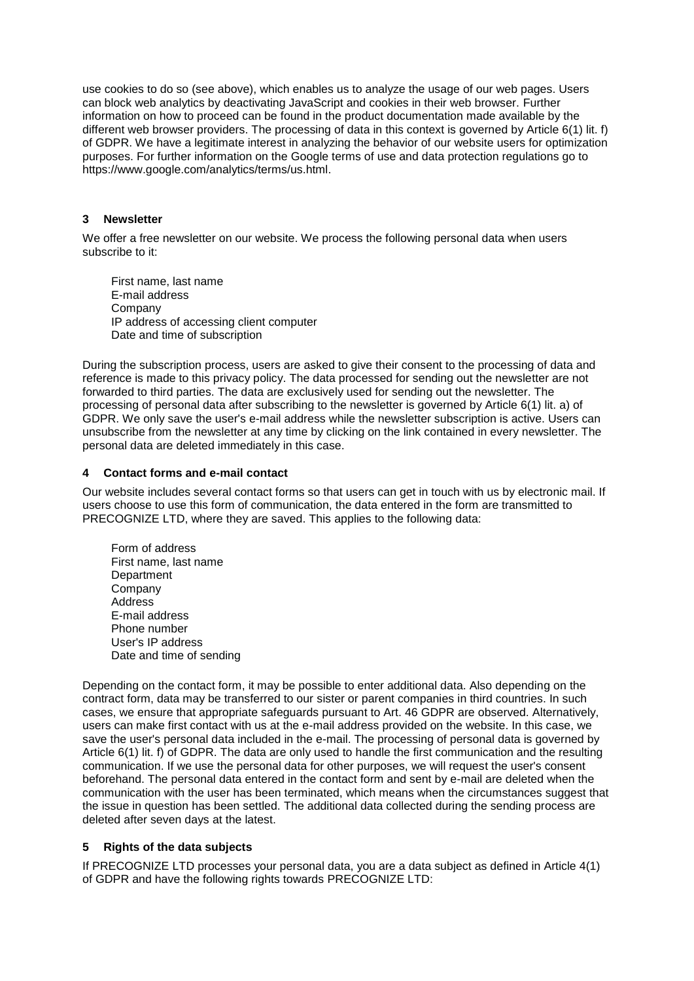use cookies to do so (see above), which enables us to analyze the usage of our web pages. Users can block web analytics by deactivating JavaScript and cookies in their web browser. Further information on how to proceed can be found in the product documentation made available by the different web browser providers. The processing of data in this context is governed by Article 6(1) lit. f) of GDPR. We have a legitimate interest in analyzing the behavior of our website users for optimization purposes. For further information on the Google terms of use and data protection regulations go to https://www.google.com/analytics/terms/us.html.

#### **3 Newsletter**

We offer a free newsletter on our website. We process the following personal data when users subscribe to it:

First name, last name E-mail address Company IP address of accessing client computer Date and time of subscription

During the subscription process, users are asked to give their consent to the processing of data and reference is made to this privacy policy. The data processed for sending out the newsletter are not forwarded to third parties. The data are exclusively used for sending out the newsletter. The processing of personal data after subscribing to the newsletter is governed by Article 6(1) lit. a) of GDPR. We only save the user's e-mail address while the newsletter subscription is active. Users can unsubscribe from the newsletter at any time by clicking on the link contained in every newsletter. The personal data are deleted immediately in this case.

#### **4 Contact forms and e-mail contact**

Our website includes several contact forms so that users can get in touch with us by electronic mail. If users choose to use this form of communication, the data entered in the form are transmitted to PRECOGNIZE LTD, where they are saved. This applies to the following data:

Form of address First name, last name **Department** Company Address E-mail address Phone number User's IP address Date and time of sending

Depending on the contact form, it may be possible to enter additional data. Also depending on the contract form, data may be transferred to our sister or parent companies in third countries. In such cases, we ensure that appropriate safeguards pursuant to Art. 46 GDPR are observed. Alternatively, users can make first contact with us at the e-mail address provided on the website. In this case, we save the user's personal data included in the e-mail. The processing of personal data is governed by Article 6(1) lit. f) of GDPR. The data are only used to handle the first communication and the resulting communication. If we use the personal data for other purposes, we will request the user's consent beforehand. The personal data entered in the contact form and sent by e-mail are deleted when the communication with the user has been terminated, which means when the circumstances suggest that the issue in question has been settled. The additional data collected during the sending process are deleted after seven days at the latest.

# **5 Rights of the data subjects**

If PRECOGNIZE LTD processes your personal data, you are a data subject as defined in Article 4(1) of GDPR and have the following rights towards PRECOGNIZE LTD: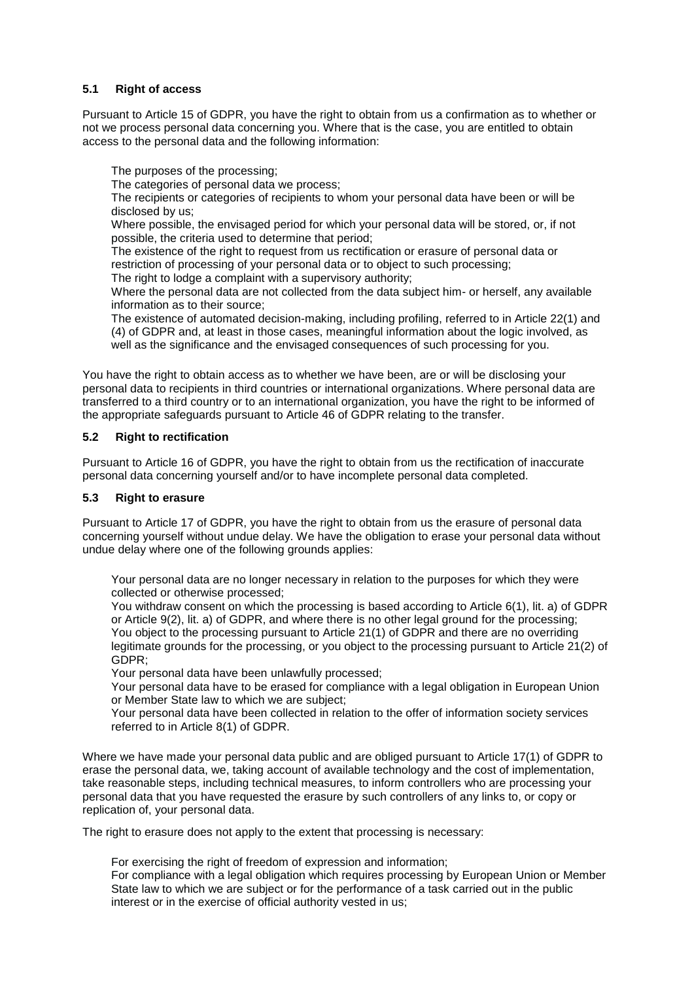# **5.1 Right of access**

Pursuant to Article 15 of GDPR, you have the right to obtain from us a confirmation as to whether or not we process personal data concerning you. Where that is the case, you are entitled to obtain access to the personal data and the following information:

The purposes of the processing;

The categories of personal data we process;

The recipients or categories of recipients to whom your personal data have been or will be disclosed by us;

Where possible, the envisaged period for which your personal data will be stored, or, if not possible, the criteria used to determine that period;

The existence of the right to request from us rectification or erasure of personal data or restriction of processing of your personal data or to object to such processing; The right to lodge a complaint with a supervisory authority;

Where the personal data are not collected from the data subject him- or herself, any available information as to their source;

The existence of automated decision-making, including profiling, referred to in Article 22(1) and (4) of GDPR and, at least in those cases, meaningful information about the logic involved, as well as the significance and the envisaged consequences of such processing for you.

You have the right to obtain access as to whether we have been, are or will be disclosing your personal data to recipients in third countries or international organizations. Where personal data are transferred to a third country or to an international organization, you have the right to be informed of the appropriate safeguards pursuant to Article 46 of GDPR relating to the transfer.

# **5.2 Right to rectification**

Pursuant to Article 16 of GDPR, you have the right to obtain from us the rectification of inaccurate personal data concerning yourself and/or to have incomplete personal data completed.

# **5.3 Right to erasure**

Pursuant to Article 17 of GDPR, you have the right to obtain from us the erasure of personal data concerning yourself without undue delay. We have the obligation to erase your personal data without undue delay where one of the following grounds applies:

Your personal data are no longer necessary in relation to the purposes for which they were collected or otherwise processed;

You withdraw consent on which the processing is based according to Article 6(1), lit. a) of GDPR or Article 9(2), lit. a) of GDPR, and where there is no other legal ground for the processing; You object to the processing pursuant to Article 21(1) of GDPR and there are no overriding legitimate grounds for the processing, or you object to the processing pursuant to Article 21(2) of GDPR;

Your personal data have been unlawfully processed;

Your personal data have to be erased for compliance with a legal obligation in European Union or Member State law to which we are subject;

Your personal data have been collected in relation to the offer of information society services referred to in Article 8(1) of GDPR.

Where we have made your personal data public and are obliged pursuant to Article 17(1) of GDPR to erase the personal data, we, taking account of available technology and the cost of implementation, take reasonable steps, including technical measures, to inform controllers who are processing your personal data that you have requested the erasure by such controllers of any links to, or copy or replication of, your personal data.

The right to erasure does not apply to the extent that processing is necessary:

For exercising the right of freedom of expression and information; For compliance with a legal obligation which requires processing by European Union or Member State law to which we are subject or for the performance of a task carried out in the public

interest or in the exercise of official authority vested in us;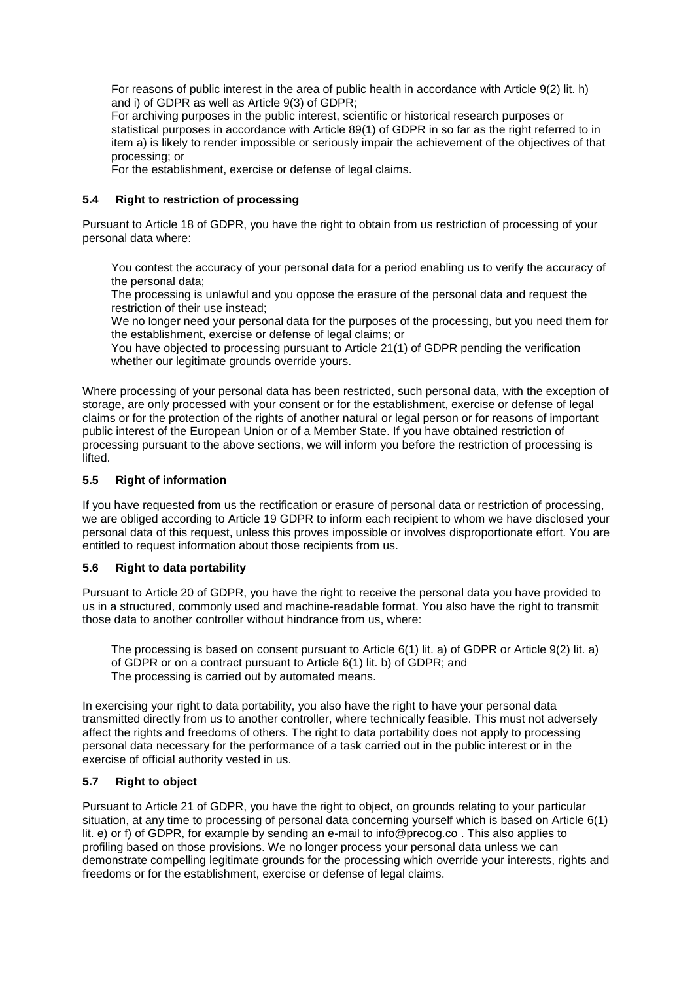For reasons of public interest in the area of public health in accordance with Article 9(2) lit. h) and i) of GDPR as well as Article 9(3) of GDPR;

For archiving purposes in the public interest, scientific or historical research purposes or statistical purposes in accordance with Article 89(1) of GDPR in so far as the right referred to in item a) is likely to render impossible or seriously impair the achievement of the objectives of that processing; or

For the establishment, exercise or defense of legal claims.

#### **5.4 Right to restriction of processing**

Pursuant to Article 18 of GDPR, you have the right to obtain from us restriction of processing of your personal data where:

You contest the accuracy of your personal data for a period enabling us to verify the accuracy of the personal data;

The processing is unlawful and you oppose the erasure of the personal data and request the restriction of their use instead;

We no longer need your personal data for the purposes of the processing, but you need them for the establishment, exercise or defense of legal claims; or

You have objected to processing pursuant to Article 21(1) of GDPR pending the verification whether our legitimate grounds override yours.

Where processing of your personal data has been restricted, such personal data, with the exception of storage, are only processed with your consent or for the establishment, exercise or defense of legal claims or for the protection of the rights of another natural or legal person or for reasons of important public interest of the European Union or of a Member State. If you have obtained restriction of processing pursuant to the above sections, we will inform you before the restriction of processing is lifted.

#### **5.5 Right of information**

If you have requested from us the rectification or erasure of personal data or restriction of processing, we are obliged according to Article 19 GDPR to inform each recipient to whom we have disclosed your personal data of this request, unless this proves impossible or involves disproportionate effort. You are entitled to request information about those recipients from us.

# **5.6 Right to data portability**

Pursuant to Article 20 of GDPR, you have the right to receive the personal data you have provided to us in a structured, commonly used and machine-readable format. You also have the right to transmit those data to another controller without hindrance from us, where:

The processing is based on consent pursuant to Article 6(1) lit. a) of GDPR or Article 9(2) lit. a) of GDPR or on a contract pursuant to Article 6(1) lit. b) of GDPR; and The processing is carried out by automated means.

In exercising your right to data portability, you also have the right to have your personal data transmitted directly from us to another controller, where technically feasible. This must not adversely affect the rights and freedoms of others. The right to data portability does not apply to processing personal data necessary for the performance of a task carried out in the public interest or in the exercise of official authority vested in us.

# **5.7 Right to object**

Pursuant to Article 21 of GDPR, you have the right to object, on grounds relating to your particular situation, at any time to processing of personal data concerning yourself which is based on Article 6(1) lit. e) or f) of GDPR, for example by sending an e-mail to [info@precog.co](javascript:linkTo_UnCryptMailto() . This also applies to profiling based on those provisions. We no longer process your personal data unless we can demonstrate compelling legitimate grounds for the processing which override your interests, rights and freedoms or for the establishment, exercise or defense of legal claims.